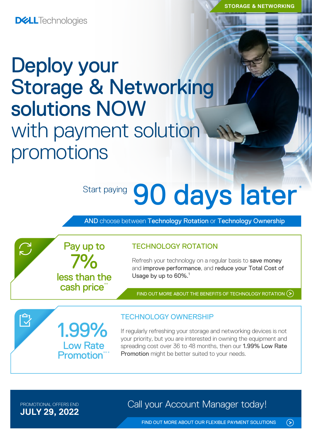**DELL**Technologies

## Deploy your Storage & Networking solutions NOW with payment solution promotions

7%

Pay up to

less than the cash price\*

1.99%

Low Rate **Promotion** 

# Start paying 90 days later

AND choose between Technology Rotation or Technology Ownership

### TECHNOLOGY ROTATION

Refresh your technology on a regular basis to save money and improve performance, and reduce your Total Cost of Usage by up to 60%.<sup>1</sup>

FIND OUT MORE ABOUT THE [BENEFITS OF TECHNOLOGY ROTATION](https://www.delltechnologies.com/en-ie/payment-solutions/leasing.htm#tab0=0) (>)

### TECHNOLOGY OWNERSHIP

If regularly refreshing your storage and networking devices is not your priority, but you are interested in owning the equipment and spreading cost over 36 to 48 months, then our 1.99% Low Rate Promotion might be better suited to your needs.

**JULY 29, 2022**

 $\sum$ 

 $\bar{\mathbb{C}}$ 

PROMOTIONAL OFFERS END **Call your Account Manager today!** 

[FIND OUT MORE ABOUT OUR FLEXIBLE PAYMENT SOLUTIONS](https://www.delltechnologies.com/en-ie/payment-solutions/index.htm#tab0=0)

 $\odot$